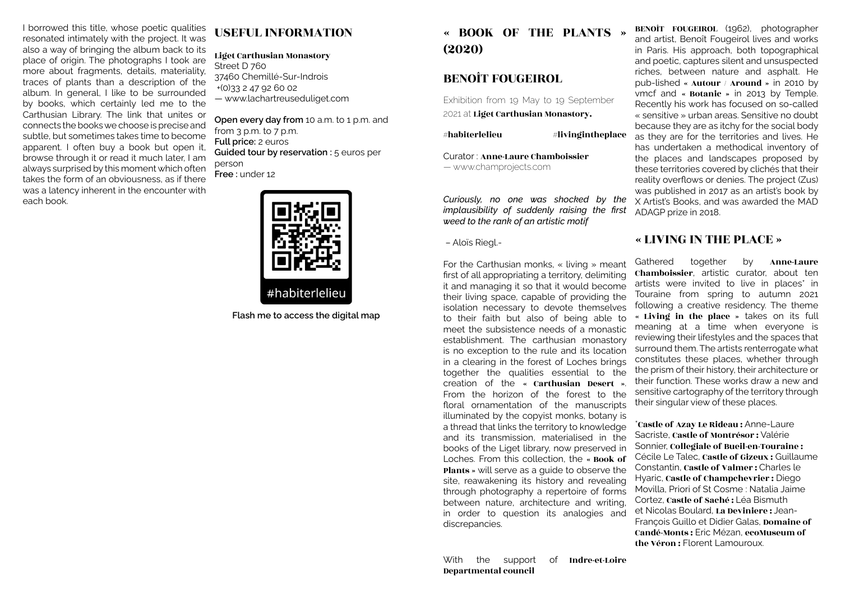I borrowed this title, whose poetic qualities resonated intimately with the project. It was also a way of bringing the album back to its place of origin. The photographs I took are more about fragments, details, materiality, traces of plants than a description of the album. In general, I like to be surrounded by books, which certainly led me to the Carthusian Library. The link that unites or connects the books we choose is precise and subtle, but sometimes takes time to become apparent. I often buy a book but open it, browse through it or read it much later, I am always surprised by this moment which often takes the form of an obviousness, as if there was a latency inherent in the encounter with each book.

## USEFUL INFORMATION

Liget Carthusian Monastory Street D 760 37460 Chemillé-Sur-Indrois +(0)33 2 47 92 60 02 — www.lachartreuseduliget.com

**Open every day from** 10 a.m. to 1 p.m. and from  $3$  p.m. to  $7$  p.m. **Full price:** 2 euros **Guided tour by reservation :** 5 euros per person **Free :** under 12



**Flash me to access the digital map**

« BOOK OF THE PLANTS » (2020)

## BENOÎT FOUGEIROL

Exhibition from 19 May to 19 September 2021 at Liget Carthusian Monastory.

 $#$ habiterlelieu  $#$ livingintheplace

Curator : Anne-Laure Chamboissier — www.champrojects.com

*Curiously, no one was shocked by the implausibility of suddenly raising the first weed to the rank of an artistic motif*

– Aloïs Riegl.-

For the Carthusian monks, « living » meant first of all appropriating a territory, delimiting it and managing it so that it would become their living space, capable of providing the isolation necessary to devote themselves to their faith but also of being able to meet the subsistence needs of a monastic establishment. The carthusian monastory is no exception to the rule and its location in a clearing in the forest of Loches brings together the qualities essential to the creation of the « Carthusian Desert ». From the horizon of the forest to the floral ornamentation of the manuscripts illuminated by the copyist monks, botany is a thread that links the territory to knowledge and its transmission, materialised in the books of the Liget library, now preserved in Loches. From this collection, the « Book of Plants » will serve as a guide to observe the site, reawakening its history and revealing through photography a repertoire of forms between nature, architecture and writing, in order to question its analogies and discrepancies.

BENOÎT FOUGEIROL (1962), photographer and artist, Benoît Fougeirol lives and works in Paris. His approach, both topographical and poetic, captures silent and unsuspected riches, between nature and asphalt. He pub-lished « Autour / Around » in 2010 by vmcf and « Botanic » in 2013 by Temple. Recently his work has focused on so-called « sensitive » urban areas. Sensitive no doubt because they are as itchy for the social body as they are for the territories and lives. He has undertaken a methodical inventory of the places and landscapes proposed by these territories covered by clichés that their reality overflows or denies. The project (Zus) was published in 2017 as an artist's book by X Artist's Books, and was awarded the MAD ADAGP prize in 2018.

## « LIVING IN THE PLACE »

Gathered together by Anne-Laure Chamboissier, artistic curator, about ten artists were invited to live in places\* in Touraine from spring to autumn 2021 following a creative residency. The theme « Living in the place » takes on its full meaning at a time when everyone is reviewing their lifestyles and the spaces that surround them. The artists renterrogate what constitutes these places, whether through the prism of their history, their architecture or their function. These works draw a new and sensitive cartography of the territory through their singular view of these places.

\*Castle of Azay Le Rideau : Anne-Laure Sacriste, Castle of Montrésor : Valérie Sonnier, Collegiale of Bueil-en-Touraine : Cécile Le Talec, Castle of Gizeux : Guillaume Constantin, Castle of Valmer : Charles le Hyaric, Castle of Champchevrier : Diego Movilla, Priori of St Cosme : Natalia Jaime Cortez, Castle of Saché : Léa Bismuth et Nicolas Boulard, La Deviniere : Jean-François Guillo et Didier Galas, Domaine of Candé-Monts : Eric Mézan, ecoMuseum of the Véron : Florent Lamouroux.

With the support of **Indre-et-Loire** Departmental council